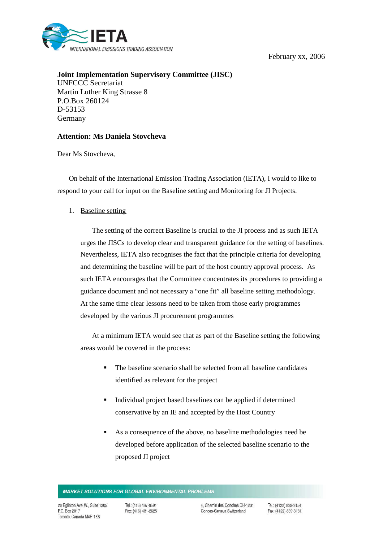February xx, 2006



**Joint Implementation Supervisory Committee (JISC)** UNFCCC Secretariat Martin Luther King Strasse 8 P.O.Box 260124 D-53153 Germany

## **Attention: Ms Daniela Stovcheva**

Dear Ms Stovcheva,

On behalf of the International Emission Trading Association (IETA), I would to like to respond to your call for input on the Baseline setting and Monitoring for JI Projects.

1. Baseline setting

The setting of the correct Baseline is crucial to the JI process and as such IETA urges the JISCs to develop clear and transparent guidance for the setting of baselines. Nevertheless, IETA also recognises the fact that the principle criteria for developing and determining the baseline will be part of the host country approval process. As such IETA encourages that the Committee concentrates its procedures to providing a guidance document and not necessary a "one fit" all baseline setting methodology. At the same time clear lessons need to be taken from those early programmes developed by the various JI procurement programmes

At a minimum IETA would see that as part of the Baseline setting the following areas would be covered in the process:

- The baseline scenario shall be selected from all baseline candidates identified as relevant for the project
- Individual project based baselines can be applied if determined conservative by an IE and accepted by the Host Country
- As a consequence of the above, no baseline methodologies need be developed before application of the selected baseline scenario to the proposed JI project

Tel.: (416) 487-8591 Fax: (416) 481-2625

Tel.: (4122) 839-3154 Fax: (4122) 839-3181